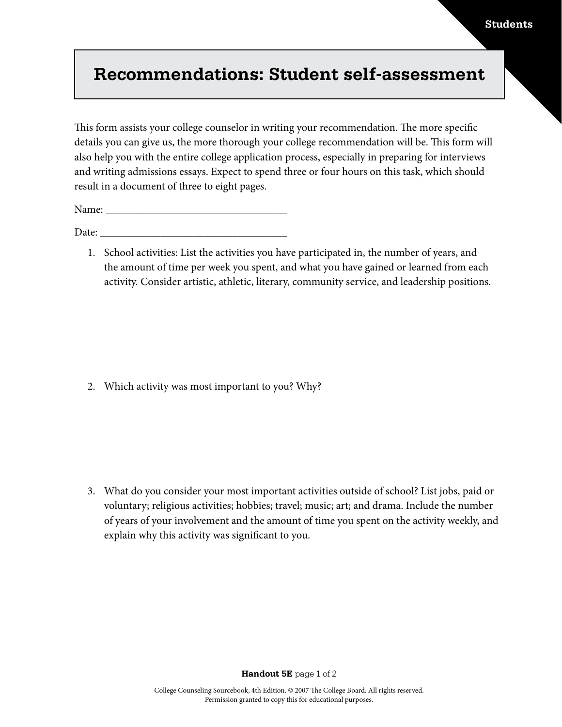## **Recommendations: Student self-assessment**

This form assists your college counselor in writing your recommendation. The more specific details you can give us, the more thorough your college recommendation will be. This form will also help you with the entire college application process, especially in preparing for interviews and writing admissions essays. Expect to spend three or four hours on this task, which should result in a document of three to eight pages.

Name:

Date:  $\frac{1}{\sqrt{1-\frac{1}{2}}}$ 

1. School activities: List the activities you have participated in, the number of years, and the amount of time per week you spent, and what you have gained or learned from each activity. Consider artistic, athletic, literary, community service, and leadership positions.

2. Which activity was most important to you? Why?

3. What do you consider your most important activities outside of school? List jobs, paid or voluntary; religious activities; hobbies; travel; music; art; and drama. Include the number of years of your involvement and the amount of time you spent on the activity weekly, and explain why this activity was significant to you.